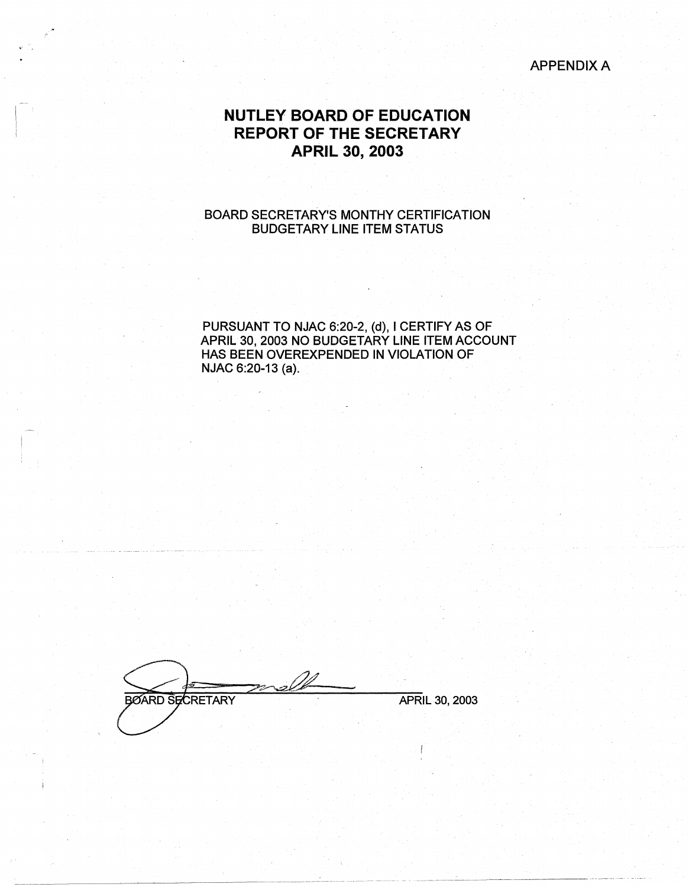APPENDIX A

## **NUTLEY BOARD OF EDUCATION REPORT OF THE SECRETARY APRIL 30, 2003**

BOARD SECRETARY'S MONTHY CERTIFICATION BUDGETARY LINE ITEM STATUS

PURSUANT TO NJAC 6:20-2, (d), I CERTIFY AS OF APRIL 30, 2003 NO BUDGETARY LINE ITEM ACCOUNT HAS BEEN OVEREXPENDED IN VIOLATION OF NJAC 6:20-13 (a);

BØARD SECRETARY **APRIL 30, 2003**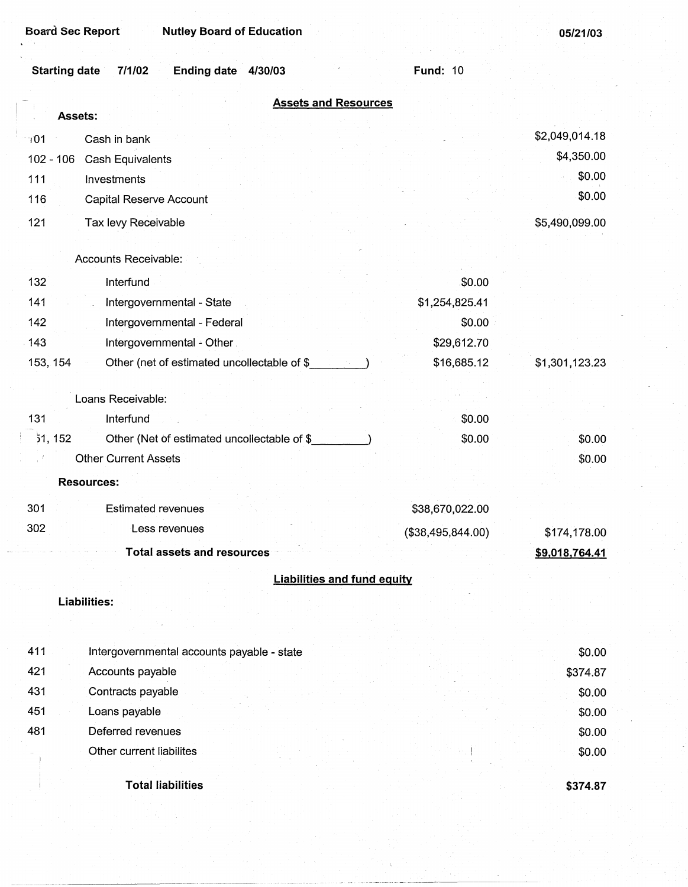--~----~--~--~-

| <b>Starting date</b><br>7/1/02<br>Ending date 4/30/03   | <b>Fund: 10</b>                    |                |
|---------------------------------------------------------|------------------------------------|----------------|
| <b>Assets and Resources</b>                             |                                    |                |
| Assets:                                                 |                                    |                |
| 101<br>Cash in bank                                     |                                    | \$2,049,014.18 |
| $102 - 106$<br><b>Cash Equivalents</b>                  |                                    | \$4,350.00     |
| 111<br>Investments                                      |                                    | \$0.00         |
| 116<br>Capital Reserve Account                          |                                    | \$0.00         |
| 121<br>Tax levy Receivable                              |                                    | \$5,490,099.00 |
|                                                         |                                    |                |
| Accounts Receivable:                                    |                                    |                |
| 132<br>Interfund                                        | \$0.00                             |                |
| 141<br>Intergovernmental - State                        | \$1,254,825.41                     |                |
| 142<br>Intergovernmental - Federal                      | \$0.00                             |                |
| 143<br>Intergovernmental - Other.                       | \$29,612.70                        |                |
| 153, 154<br>Other (net of estimated uncollectable of \$ | \$16,685.12                        | \$1,301,123.23 |
| Loans Receivable:                                       |                                    |                |
| 131<br>Interfund                                        | \$0.00                             |                |
| 51, 152<br>Other (Net of estimated uncollectable of \$  | \$0.00                             | \$0.00         |
| <b>Other Current Assets</b>                             |                                    | \$0.00         |
| <b>Resources:</b>                                       |                                    |                |
| <b>Estimated revenues</b><br>301                        | \$38,670,022.00                    |                |
| 302<br>Less revenues                                    | (\$38,495,844.00)                  | \$174,178.00   |
| <b>Total assets and resources</b>                       |                                    | \$9,018,764.41 |
|                                                         | <b>Liabilities and fund equity</b> |                |
| Liabilities:                                            |                                    |                |
|                                                         |                                    |                |
| 411<br>Intergovernmental accounts payable - state       |                                    | \$0.00         |
| 421<br>Accounts payable                                 |                                    | \$374.87       |
| 431<br>Contracts payable                                |                                    | \$0.00         |
| 451<br>Loans payable                                    |                                    | \$0.00         |
| 481<br>Deferred revenues                                |                                    | \$0.00         |
| Other current liabilites                                |                                    | \$0.00         |
| <b>Total liabilities</b>                                |                                    | \$374.87       |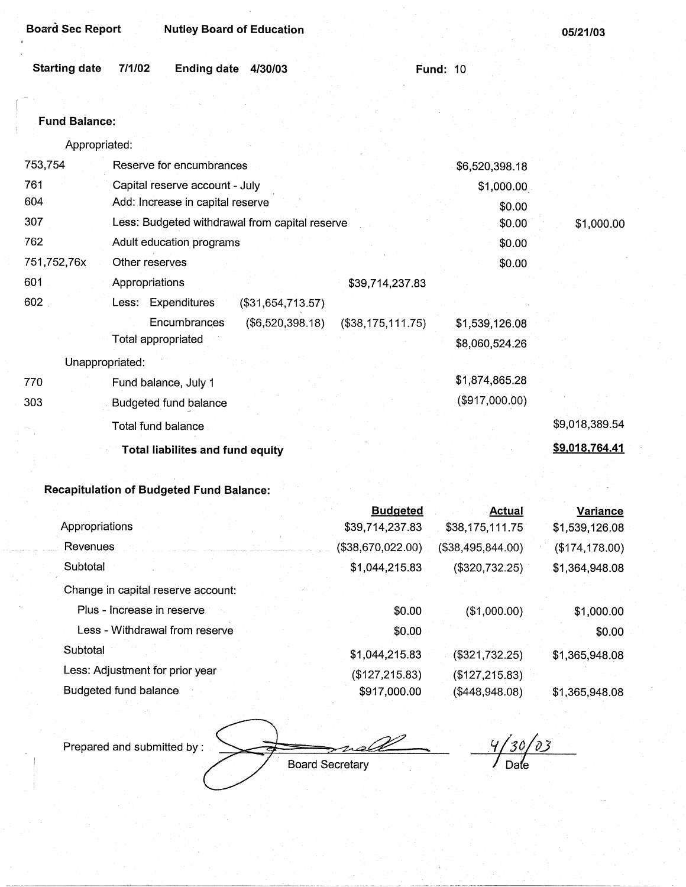| <b>Board Sec Report</b> |                                                | <b>Nutley Board of Education</b> |                      |                | 05/21/03       |
|-------------------------|------------------------------------------------|----------------------------------|----------------------|----------------|----------------|
| <b>Starting date</b>    | 7/1/02<br><b>Ending date</b>                   | 4/30/03                          | <b>Fund: 10</b>      |                |                |
|                         |                                                |                                  |                      |                |                |
| <b>Fund Balance:</b>    |                                                |                                  |                      |                |                |
| Appropriated:           |                                                |                                  |                      |                |                |
| 753,754                 | Reserve for encumbrances                       |                                  |                      | \$6,520,398.18 |                |
| 761                     | Capital reserve account - July                 |                                  |                      | \$1,000.00     |                |
| 604                     | Add: Increase in capital reserve               |                                  |                      | \$0.00         |                |
| 307                     | Less: Budgeted withdrawal from capital reserve |                                  |                      | \$0.00         | \$1,000.00     |
| 762                     | Adult education programs                       |                                  |                      | \$0.00         |                |
| 751,752,76x             | Other reserves                                 |                                  |                      | \$0.00         |                |
| 601                     | Appropriations                                 |                                  | \$39,714,237.83      |                |                |
| 602                     | Less: Expenditures                             | (\$31,654,713.57)                |                      |                |                |
|                         | Encumbrances                                   | (\$6,520,398.18)                 | $($ \$38,175,111.75) | \$1,539,126.08 |                |
|                         | Total appropriated                             |                                  |                      | \$8,060,524.26 |                |
| Unappropriated:         |                                                |                                  |                      |                |                |
| 770                     | Fund balance, July 1                           |                                  |                      | \$1,874,865.28 |                |
| 303                     | <b>Budgeted fund balance</b>                   |                                  |                      | (\$917,000.00) |                |
|                         | Total fund balance                             |                                  |                      |                | \$9,018,389.54 |
|                         | <b>Total liabilites and fund equity</b>        |                                  |                      |                | \$9,018,764.41 |

|                                    | <b>Budgeted</b>   | <b>Actual</b>     | <b>Variance</b> |
|------------------------------------|-------------------|-------------------|-----------------|
| Appropriations                     | \$39,714,237.83   | \$38,175,111.75   | \$1,539,126.08  |
| Revenues                           | (\$38,670,022.00) | (\$38,495,844.00) | (\$174, 178.00) |
| Subtotal                           | \$1,044,215.83    | (\$320,732.25)    | \$1,364,948.08  |
| Change in capital reserve account: |                   |                   |                 |
| Plus - Increase in reserve         | \$0.00            | (\$1,000.00)      | \$1,000.00      |
| Less - Withdrawal from reserve     | \$0.00            |                   | \$0.00          |
| Subtotal                           | \$1,044,215.83    | (\$321,732.25)    | \$1,365,948.08  |
| Less: Adjustment for prior year    | (\$127,215.83)    | (\$127, 215.83)   |                 |
| Budgeted fund balance              | \$917,000.00      | (\$448,948.08)    | \$1,365,948.08  |

Prepared and submitted by : -2 Board Secretary

*let 1 30/03*<br>Date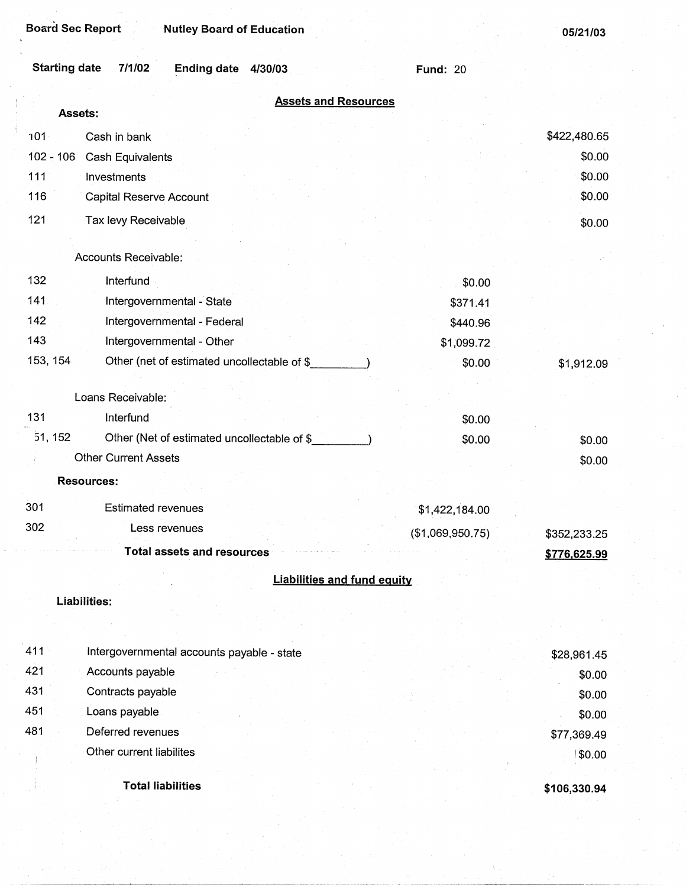| <b>Starting date</b> | 7/1/02<br>Ending date 4/30/03               | <b>Fund: 20</b>  |                  |
|----------------------|---------------------------------------------|------------------|------------------|
|                      | <b>Assets and Resources</b><br>Assets:      |                  |                  |
|                      |                                             |                  |                  |
| 101                  | Cash in bank                                |                  | \$422,480.65     |
| $102 - 106$          | Cash Equivalents                            |                  | \$0.00<br>\$0.00 |
| 111<br>116           | Investments                                 |                  | \$0.00           |
|                      | Capital Reserve Account                     |                  |                  |
| 121                  | Tax levy Receivable                         |                  | \$0.00           |
|                      | Accounts Receivable:                        |                  |                  |
| 132                  | Interfund                                   | \$0.00           |                  |
| 141                  | Intergovernmental - State                   | \$371.41         |                  |
| 142                  | Intergovernmental - Federal                 | \$440.96         |                  |
| 143                  | Intergovernmental - Other                   | \$1,099.72       |                  |
| 153, 154             | Other (net of estimated uncollectable of \$ | \$0.00           | \$1,912.09       |
|                      |                                             |                  |                  |
|                      | Loans Receivable:                           |                  |                  |
| 131                  | Interfund                                   | \$0.00           |                  |
| 51, 152              | Other (Net of estimated uncollectable of \$ | \$0.00           | \$0.00           |
|                      | <b>Other Current Assets</b>                 |                  | \$0.00           |
|                      | <b>Resources:</b>                           |                  |                  |
| 301                  | <b>Estimated revenues</b>                   | \$1,422,184.00   |                  |
| 302                  | Less revenues                               | (\$1,069,950.75) | \$352,233.25     |
|                      | Total assets and resources                  |                  | \$776,625.99     |
|                      | <b>Liabilities and fund equity</b>          |                  |                  |
|                      | Liabilities:                                |                  |                  |
|                      |                                             |                  |                  |
| 411                  | Intergovernmental accounts payable - state  |                  | \$28,961.45      |
| 421                  | Accounts payable                            |                  | \$0.00           |
| 431                  | Contracts payable                           |                  | \$0.00           |
| 451                  | Loans payable                               |                  | \$0.00           |
| 481                  | Deferred revenues                           |                  | \$77,369.49      |
|                      | Other current liabilites                    |                  | \$0.00           |
|                      |                                             |                  |                  |

**Total liabilities** 

**\$106,330.94**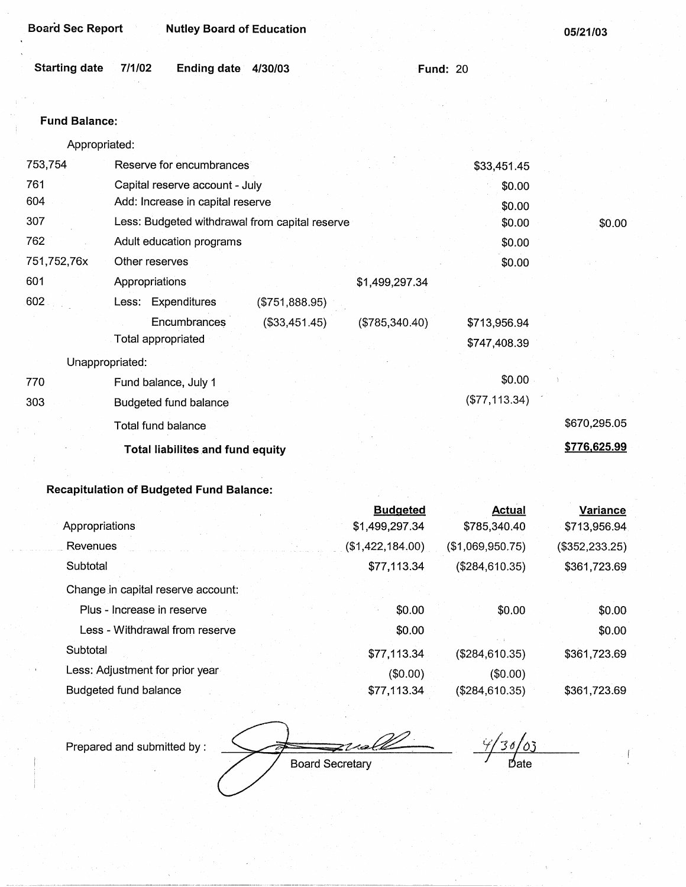| <b>Board Sec Report</b> |                    | <b>Nutley Board of Education</b>        |                                                |                  |                 | 05/21/03     |
|-------------------------|--------------------|-----------------------------------------|------------------------------------------------|------------------|-----------------|--------------|
| <b>Starting date</b>    | 7/1/02             | Ending date 4/30/03                     |                                                |                  | <b>Fund: 20</b> |              |
| <b>Fund Balance:</b>    |                    |                                         |                                                |                  |                 |              |
| Appropriated:           |                    |                                         |                                                |                  |                 |              |
| 753,754                 |                    | Reserve for encumbrances                |                                                |                  | \$33,451.45     |              |
| 761                     |                    | Capital reserve account - July          |                                                |                  | \$0.00          |              |
| 604                     |                    | Add: Increase in capital reserve        |                                                |                  | \$0.00          |              |
| 307                     |                    |                                         | Less: Budgeted withdrawal from capital reserve |                  | \$0.00          | \$0.00       |
| 762                     |                    | Adult education programs                |                                                |                  | \$0.00          |              |
| 751,752,76x             | Other reserves     |                                         |                                                |                  | \$0.00          |              |
| 601                     | Appropriations     |                                         |                                                | \$1,499,297.34   |                 |              |
| 602                     |                    | Less: Expenditures                      | (\$751,888.95)                                 |                  |                 |              |
|                         |                    | Encumbrances                            | (\$33,451.45)                                  | $(\$785,340.40)$ | \$713,956.94    |              |
|                         | Total appropriated |                                         |                                                |                  | \$747,408.39    |              |
| Unappropriated:         |                    |                                         |                                                |                  |                 |              |
| 770                     |                    | Fund balance, July 1                    |                                                |                  | \$0.00          |              |
| 303                     |                    | Budgeted fund balance                   |                                                |                  | (\$77,113.34)   |              |
|                         | Total fund balance |                                         |                                                |                  |                 | \$670,295.05 |
|                         |                    | <b>Total liabilites and fund equity</b> |                                                |                  |                 | \$776,625.99 |

|                                    | <b>Budgeted</b>  | <b>Actual</b>    | Variance       |
|------------------------------------|------------------|------------------|----------------|
| Appropriations                     | \$1,499,297.34   | \$785,340.40     | \$713,956.94   |
| Revenues                           | (\$1,422,184.00) | (\$1,069,950.75) | (\$352,233.25) |
| Subtotal                           | \$77,113.34      | (\$284,610.35)   | \$361,723.69   |
| Change in capital reserve account: |                  |                  |                |
| Plus - Increase in reserve         | \$0.00           | \$0.00           | \$0.00         |
| Less - Withdrawal from reserve     | \$0.00           |                  | \$0.00         |
| Subtotal                           | \$77,113.34      | (\$284,610.35)   | \$361,723.69   |
| Less: Adjustment for prior year    | $(\$0.00)$       | (\$0.00)         |                |
| Budgeted fund balance              | \$77,113.34      | (\$284,610.35)   | \$361,723.69   |

*r* / 30/03 Prepared and submitted by :  $\Rightarrow$  valle Board Secretary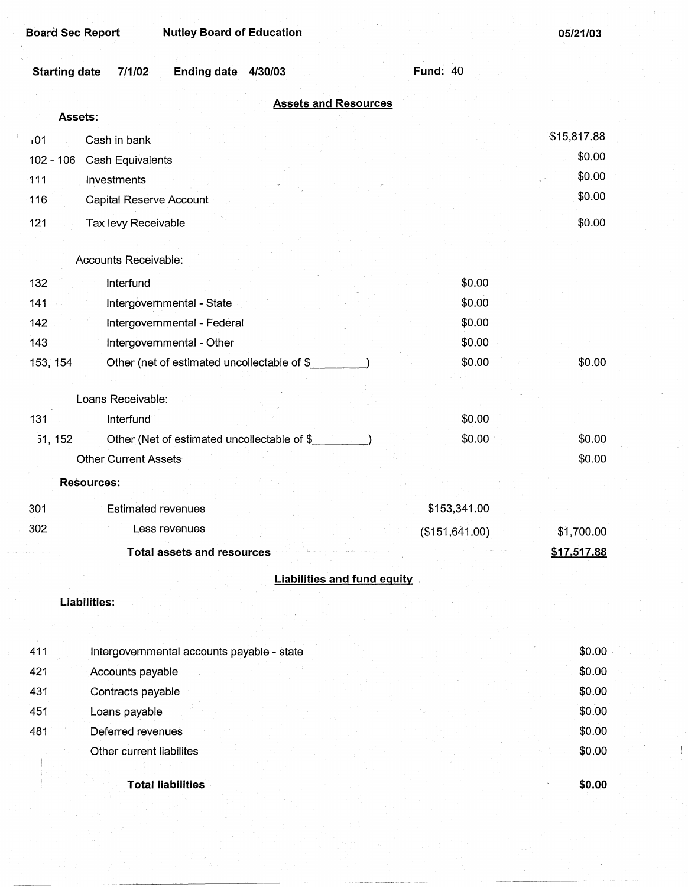| <b>Nutley Board of Education</b><br><b>Board Sec Report</b> |                 | 05/21/03    |
|-------------------------------------------------------------|-----------------|-------------|
| <b>Starting date</b><br>7/1/02<br>Ending date 4/30/03       | <b>Fund: 40</b> |             |
| <b>Assets and Resources</b>                                 |                 |             |
| Assets:                                                     |                 |             |
| 101<br>Cash in bank                                         |                 | \$15,817.88 |
| $102 - 106$<br>Cash Equivalents                             |                 | \$0.00      |
| 111<br>Investments                                          |                 | \$0.00      |
| 116<br><b>Capital Reserve Account</b>                       |                 | \$0.00      |
| 121<br>Tax levy Receivable                                  |                 | \$0.00      |
|                                                             |                 |             |
| Accounts Receivable:                                        |                 |             |
| 132<br>Interfund                                            | \$0.00          |             |
| 141<br>Intergovernmental - State                            | \$0.00          |             |
| Intergovernmental - Federal<br>142                          | \$0.00          |             |
| 143<br>Intergovernmental - Other                            | \$0.00          |             |
| Other (net of estimated uncollectable of \$<br>153, 154     | \$0.00          | \$0.00      |
|                                                             |                 |             |
| Loans Receivable:                                           |                 |             |
| 131<br>Interfund                                            | \$0.00          |             |
| Other (Net of estimated uncollectable of \$<br>51, 152      | \$0.00          | \$0.00      |
| <b>Other Current Assets</b>                                 |                 | \$0.00      |
| Resources:                                                  |                 |             |
| 301<br><b>Estimated revenues</b>                            | \$153,341.00    |             |
| 302<br>Less revenues                                        | (\$151, 641.00) | \$1,700.00  |
| <b>Total assets and resources</b>                           |                 | \$17,517.88 |
| <b>Liabilities and fund equity</b>                          |                 |             |
|                                                             |                 |             |
| Liabilities:                                                |                 |             |
|                                                             |                 |             |
| 411<br>Intergovernmental accounts payable - state           |                 | \$0.00      |
| 421<br>Accounts payable                                     |                 | \$0.00      |
| 431<br>Contracts payable                                    |                 | \$0.00      |
| 451<br>Loans payable                                        |                 | \$0.00      |

Other current liabilites

Deferred revenues

481

**Total liabilities** 

**\$0.QO** 

\$0.00 \$0.00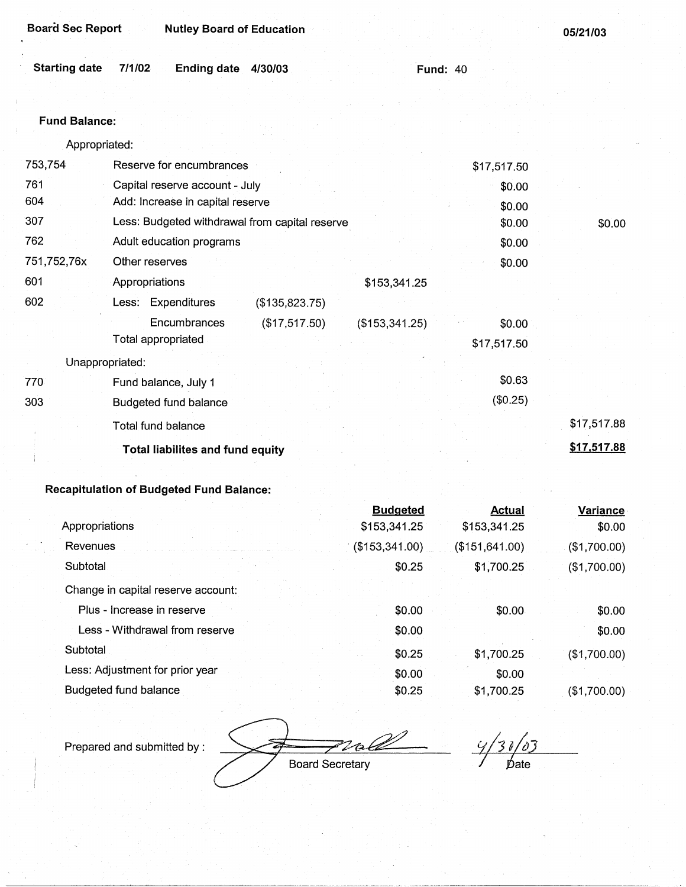| <b>Board Sec Report</b> | <b>Nutley Board of Education</b>               |                          | 05/21/03    |
|-------------------------|------------------------------------------------|--------------------------|-------------|
| <b>Starting date</b>    | 7/1/02<br>Ending date 4/30/03                  | <b>Fund: 40</b>          |             |
|                         |                                                |                          |             |
| <b>Fund Balance:</b>    |                                                |                          |             |
| Appropriated:           |                                                |                          |             |
| 753,754                 | Reserve for encumbrances                       | \$17,517.50              |             |
| 761                     | Capital reserve account - July                 | \$0.00                   |             |
| 604                     | Add: Increase in capital reserve               | \$0.00                   |             |
| 307                     | Less: Budgeted withdrawal from capital reserve | \$0.00                   | \$0.00      |
| 762                     | Adult education programs                       | \$0.00                   |             |
| 751,752,76x             | Other reserves                                 | \$0.00                   |             |
| 601                     | Appropriations                                 | \$153,341.25             |             |
| 602                     | Less: Expenditures<br>(\$135,823.75)           |                          |             |
|                         | Encumbrances<br>(\$17,517.50)                  | (\$153,341.25)<br>\$0.00 |             |
|                         | Total appropriated                             | \$17,517.50              |             |
| Unappropriated:         |                                                |                          |             |
| 770                     | Fund balance, July 1                           | \$0.63                   |             |
| 303                     | Budgeted fund balance                          | (\$0.25)                 |             |
|                         | Total fund balance                             |                          | \$17,517.88 |
|                         | Total liabilites and fund equity               |                          | \$17,517.88 |

|                                    | <b>Budgeted</b> | <b>Actual</b>   | <b>Variance</b> |
|------------------------------------|-----------------|-----------------|-----------------|
| Appropriations                     | \$153,341.25    | \$153,341.25    | \$0.00          |
| Revenues                           | (\$153,341.00)  | (\$151, 641.00) | (\$1,700.00)    |
| Subtotal                           | \$0.25          | \$1,700.25      | (\$1,700.00)    |
| Change in capital reserve account: |                 |                 |                 |
| Plus - Increase in reserve         | \$0.00          | \$0.00          | \$0.00          |
| Less - Withdrawal from reserve     | \$0.00          |                 | \$0.00          |
| Subtotal                           | \$0.25          | \$1,700.25      | (\$1,700.00)    |
| Less: Adjustment for prior year    | \$0.00          | \$0.00          |                 |
| Budgeted fund balance              | \$0.25          | \$1,700.25      | (\$1,700.00)    |

Prepared and submitted by :

ox  $\overline{\mathscr{L}}$ Board Secretary

 $\frac{9}{30/03}$ <br>Date

 $\sim$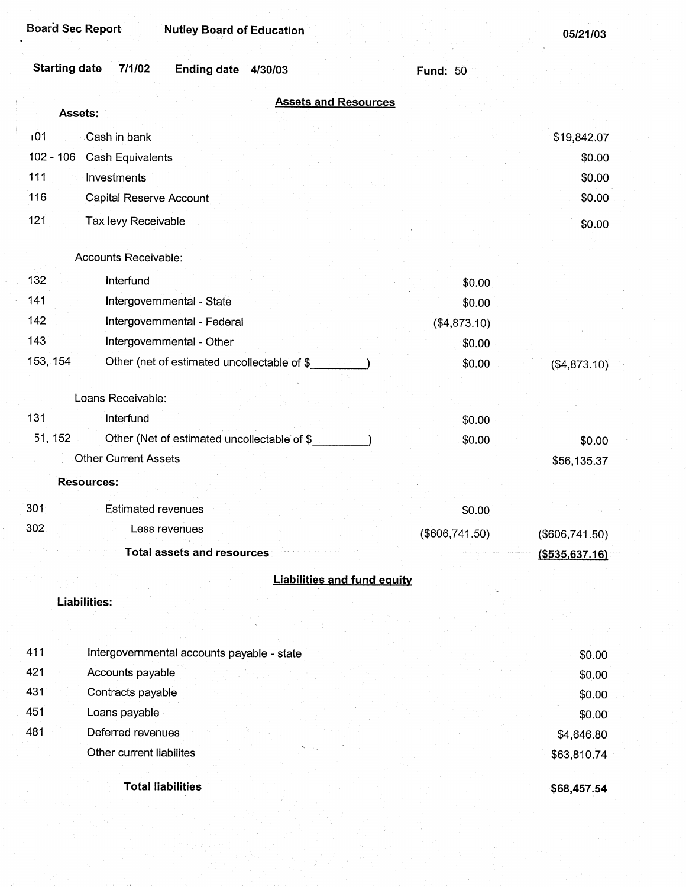**05/21/03** 

|             | <b>Starting date</b><br>7/1/02<br>Ending date 4/30/03 | <b>Fund: 50</b> |                   |
|-------------|-------------------------------------------------------|-----------------|-------------------|
|             | <b>Assets and Resources</b><br>Assets:                |                 |                   |
| i01         | Cash in bank                                          |                 | \$19,842.07       |
| $102 - 106$ | Cash Equivalents                                      |                 | \$0.00            |
| 111         | Investments                                           |                 | \$0.00            |
| 116         | Capital Reserve Account                               |                 | \$0.00            |
| 121         | Tax levy Receivable                                   |                 | \$0.00            |
|             |                                                       |                 |                   |
|             | Accounts Receivable:                                  |                 |                   |
| 132         | Interfund                                             | \$0.00          |                   |
| 141         | Intergovernmental - State                             | \$0.00          |                   |
| 142         | Intergovernmental - Federal                           | (\$4,873.10)    |                   |
| 143         | Intergovernmental - Other                             | \$0.00          |                   |
| 153, 154    | Other (net of estimated uncollectable of \$           | \$0.00          | (\$4,873.10)      |
|             |                                                       |                 |                   |
|             | Loans Receivable:                                     |                 |                   |
| 131         | Interfund                                             | \$0.00          |                   |
| 51, 152     | Other (Net of estimated uncollectable of \$           | \$0.00          | \$0.00            |
|             | <b>Other Current Assets</b>                           |                 | \$56,135.37       |
|             | <b>Resources:</b>                                     |                 |                   |
| 301         | <b>Estimated revenues</b>                             | \$0.00          |                   |
| 302         | Less revenues                                         | (\$606,741.50)  | $(\$606,741.50)$  |
|             | <b>Total assets and resources</b>                     |                 | $($ \$535,637.16) |
|             | <b>Liabilities and fund equity</b>                    |                 |                   |
|             | <b>Liabilities:</b>                                   |                 |                   |
|             |                                                       |                 |                   |
|             |                                                       |                 |                   |
| 411         | Intergovernmental accounts payable - state            |                 | \$0.00            |
| 421         | Accounts payable                                      |                 | \$0.00            |
| 431         | Contracts payable                                     |                 | \$0.00            |
| 451         | Loans payable                                         |                 | \$0.00            |
| 481         | Deferred revenues                                     |                 | \$4,646.80        |
|             | Other current liabilites                              |                 | \$63,810.74       |
|             | <b>Total liabilities</b>                              |                 | \$68,457.54       |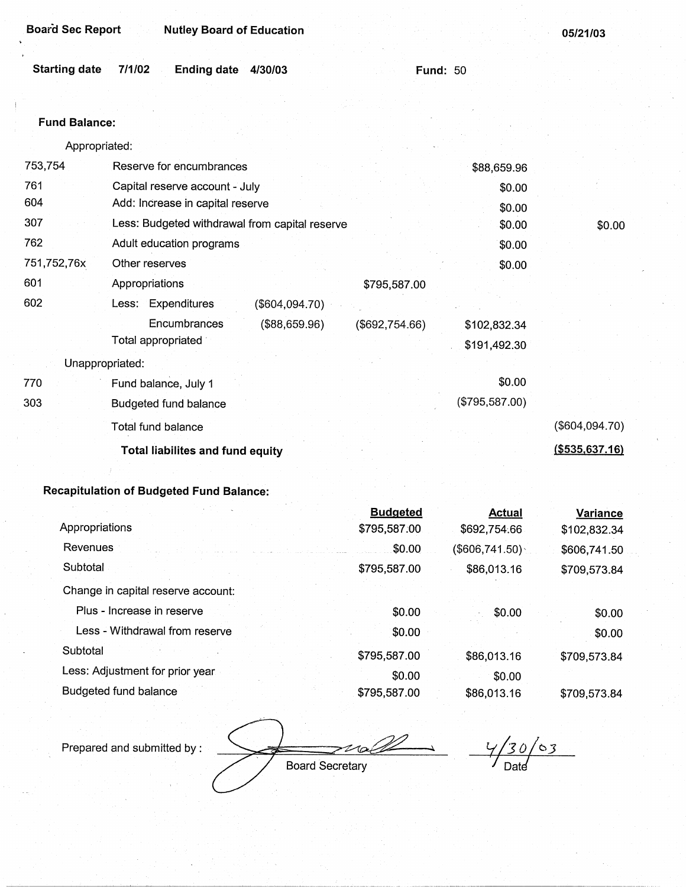| Starting date 7/1/02 | Ending date 4/30/03 |  | <b>Fund: 50</b> |
|----------------------|---------------------|--|-----------------|
|                      |                     |  |                 |

#### Fund **Balance:**

Appropriated:

| 753,754     | Reserve for encumbrances                       |                | \$88,659.96    |                  |
|-------------|------------------------------------------------|----------------|----------------|------------------|
| 761         | Capital reserve account - July                 |                | \$0.00         |                  |
| 604         | Add: Increase in capital reserve               |                | \$0.00         |                  |
| 307         | Less: Budgeted withdrawal from capital reserve |                | \$0.00         | \$0.00           |
| 762         | Adult education programs                       |                | \$0.00         |                  |
| 751,752,76x | Other reserves                                 |                | \$0.00         |                  |
| 601         | Appropriations                                 | \$795,587.00   |                |                  |
| 602         | Less: Expenditures<br>(\$604,094.70)           |                |                |                  |
|             | Encumbrances<br>(\$88,659.96)                  | (\$692,754.66) | \$102,832.34   |                  |
|             | Total appropriated                             |                | \$191,492.30   |                  |
|             | Unappropriated:                                |                |                |                  |
| 770         | Fund balance, July 1                           |                | \$0.00         |                  |
| 303         | Budgeted fund balance                          |                | (\$795,587.00) |                  |
|             | Total fund balance                             |                |                | (\$604,094.70)   |
|             | <b>Total liabilites and fund equity</b>        |                |                | ( \$535, 637.16) |
|             |                                                |                |                |                  |

|                                    | <b>Budgeted</b>        | <b>Actual</b>    | Variance     |
|------------------------------------|------------------------|------------------|--------------|
| Appropriations                     | \$795,587.00           | \$692,754.66     | \$102,832.34 |
| Revenues                           | \$0.00                 | $(\$606,741.50)$ | \$606,741.50 |
| Subtotal                           | \$795,587.00           | \$86,013.16      | \$709,573.84 |
| Change in capital reserve account: |                        |                  |              |
| Plus - Increase in reserve         | \$0.00                 | \$0.00           | \$0.00       |
| Less - Withdrawal from reserve     | \$0.00                 |                  | \$0.00       |
| Subtotal                           | \$795,587.00           | \$86,013.16      | \$709,573.84 |
| Less: Adjustment for prior year.   | \$0.00                 | \$0.00           |              |
| <b>Budgeted fund balance</b>       | \$795,587.00           | \$86,013.16      | \$709,573.84 |
| Prepared and submitted by:         | <b>Board Secretary</b> | Date             | $\sigma$     |

 $\frac{4}{30/03}$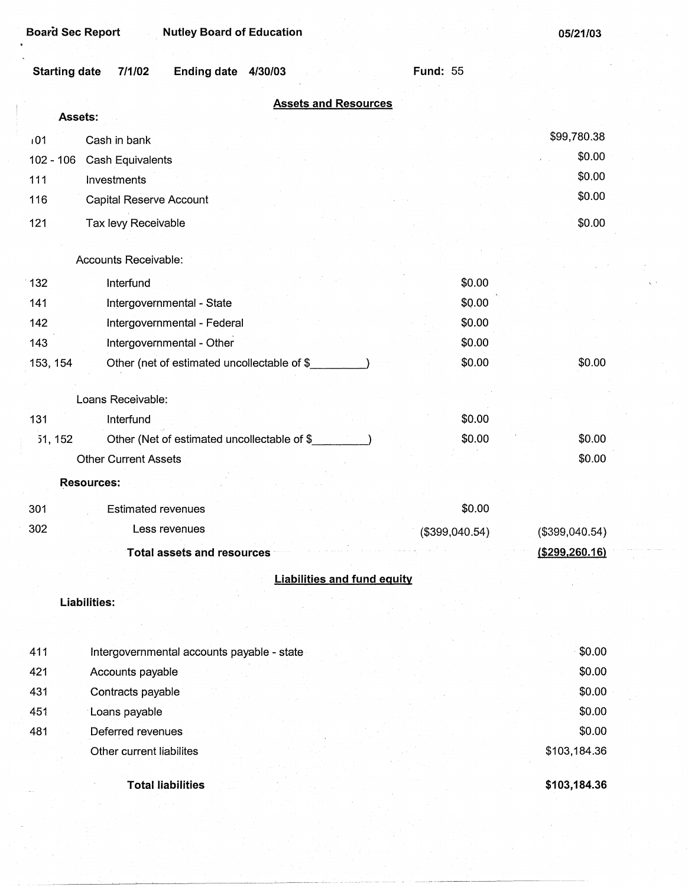**Board Sec Report Mutley Board of Education** 

**05/21/03** 

| <b>Starting date</b><br>7/1/02<br><b>Ending date</b><br>4/30/03 | <b>Fund: 55</b> |                  |  |  |  |
|-----------------------------------------------------------------|-----------------|------------------|--|--|--|
| <b>Assets and Resources</b>                                     |                 |                  |  |  |  |
| Assets:                                                         |                 |                  |  |  |  |
| 101<br>Cash in bank                                             |                 | \$99,780.38      |  |  |  |
| $102 - 106$<br>Cash Equivalents                                 |                 | \$0.00           |  |  |  |
| 111<br>Investments                                              |                 | \$0.00           |  |  |  |
| 116<br><b>Capital Reserve Account</b>                           |                 | \$0.00           |  |  |  |
| 121<br>Tax levy Receivable                                      |                 | \$0.00           |  |  |  |
|                                                                 |                 |                  |  |  |  |
| Accounts Receivable:                                            |                 |                  |  |  |  |
| 132<br>Interfund                                                | \$0.00          |                  |  |  |  |
| Intergovernmental - State<br>141                                | \$0.00          |                  |  |  |  |
| 142<br>Intergovernmental - Federal                              | \$0.00          |                  |  |  |  |
| Intergovernmental - Other<br>143                                | \$0.00          |                  |  |  |  |
| 153, 154<br>Other (net of estimated uncollectable of \$         | \$0.00          | \$0.00           |  |  |  |
| Loans Receivable:                                               |                 |                  |  |  |  |
| 131<br>Interfund                                                | \$0.00          |                  |  |  |  |
| 51, 152<br>Other (Net of estimated uncollectable of \$          | \$0.00          | \$0.00           |  |  |  |
| <b>Other Current Assets</b>                                     |                 | \$0.00           |  |  |  |
| <b>Resources:</b>                                               |                 |                  |  |  |  |
| 301<br><b>Estimated revenues</b>                                | \$0.00          |                  |  |  |  |
| 302<br>Less revenues                                            | (\$399,040.54)  | (\$399,040.54)   |  |  |  |
| <b>Total assets and resources</b>                               |                 | ( \$299, 260.16) |  |  |  |
| <b>Liabilities and fund equity</b>                              |                 |                  |  |  |  |
| <b>Liabilities:</b>                                             |                 |                  |  |  |  |
|                                                                 |                 |                  |  |  |  |
| 411<br>Intergovernmental accounts payable - state               |                 | \$0.00           |  |  |  |
| 421<br>Accounts payable                                         |                 | \$0.00           |  |  |  |
| 431<br>Contracts payable                                        |                 | \$0.00           |  |  |  |
| 451<br>Loans payable                                            |                 | \$0.00           |  |  |  |
| 481<br>Deferred revenues                                        |                 | \$0.00           |  |  |  |
| Other current liabilites                                        |                 | \$103,184.36     |  |  |  |
|                                                                 |                 |                  |  |  |  |
| <b>Total liabilities</b>                                        |                 | \$103,184.36     |  |  |  |